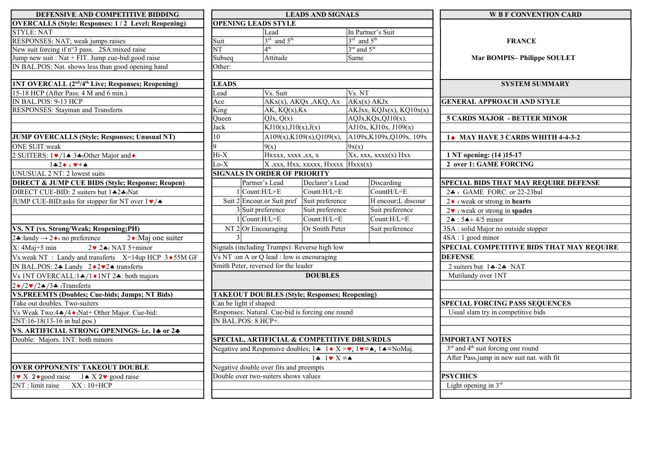| DEFENSIVE AND COMPETITIVE BIDDING                                                                  | <b>LEADS AND SIGNALS</b>                                       |                                               |                 |                                             | <b>W B F CONVENTION CARD</b>                               |  |
|----------------------------------------------------------------------------------------------------|----------------------------------------------------------------|-----------------------------------------------|-----------------|---------------------------------------------|------------------------------------------------------------|--|
| <b>OVERCALLS (Style: Responses: 1/2 Level; Reopening)</b>                                          | <b>OPENING LEADS STYLE</b>                                     |                                               |                 |                                             |                                                            |  |
| <b>STYLE: NAT</b>                                                                                  |                                                                | Lead                                          |                 | In Partner's Suit                           |                                                            |  |
| RESPONSES: NAT; weak jumps raises                                                                  | Suit                                                           | $3rd$ and $5th$                               |                 | $3^{\text{rd}}$ and $5^{\text{th}}$         | <b>FRANCE</b>                                              |  |
| New suit forcing if n°3 pass. 2SA: mixed raise                                                     | $\overline{\text{NT}}$                                         | 4 <sup>th</sup>                               |                 | $3^{\text{rd}}$ and $5^{\text{th}}$         |                                                            |  |
| Jump new suit : Nat + FIT. Jump cue-bid: good raise                                                | $\overline{\text{Subseq}}$                                     | Attitude                                      |                 | Same                                        | <b>Mar BOMPIS-Philippe SOULET</b>                          |  |
| IN BAL.POS: Nat. shows less than good opening hand                                                 | Other:                                                         |                                               |                 |                                             |                                                            |  |
|                                                                                                    |                                                                |                                               |                 |                                             |                                                            |  |
| <b>INT OVERCALL (2<sup>nd</sup>/4<sup>th</sup> Live; Responses; Reopening)</b>                     | <b>LEADS</b>                                                   |                                               |                 |                                             | <b>SYSTEM SUMMARY</b>                                      |  |
| 15-18 HCP (After Pass: 4 M and 6 min.)                                                             | cad                                                            | Vs. Suit                                      |                 | Vs. N T                                     |                                                            |  |
| IN BAL.POS: 9-13 HCP                                                                               | Ace                                                            | $AKx(x)$ , AKQx , AKQ, Ax                     |                 | AKx(x) AKJx                                 | <b>GENERAL APPROACH AND STYLE</b>                          |  |
| RESPONSES: Stayman and Transferts                                                                  | $\overline{\text{King}}$<br>$AK, KQ(x),\overline{Kx}$          |                                               |                 | AKJxx, KQJx(x), KQ10x(x)                    |                                                            |  |
|                                                                                                    | Queen<br>Jack                                                  | QJx, Q(x)<br>$\overline{KJ10(x),J10(x),J(x)}$ |                 | AQJx, KQx, QJ10(x),<br>AI0x, KJ10x, J109(x) | <b>5 CARDS MAJOR - BETTER MINOR</b>                        |  |
|                                                                                                    |                                                                |                                               |                 |                                             |                                                            |  |
| JUMP OVERCALLS (Style; Responses; Unusual NT)                                                      | 10                                                             | A109(x), K109(x), Q109(x),                    |                 | A109x, K109x, Q109x, 109x                   | 1 MAY HAVE 3 CARDS WHITH 4-4-3-2                           |  |
| <b>ONE SUIT:weak</b>                                                                               | $\Omega$                                                       | 9(x)                                          |                 | 9x(x)                                       |                                                            |  |
| 2 SUITERS: $1 \cdot \sqrt{1} \cdot \frac{3 \cdot \cdot \text{Other Major and } \cdot \cdot \cdot}$ | $Hi-X$                                                         | Hxxxx, xxxx , xx, x                           |                 | $Xx,$ xxx, xxxx(x) Hxx                      | 1 NT opening: (14) 15-17                                   |  |
| $142 \cdot 14 + 4$                                                                                 | $\overline{\Delta o-X}$<br>$X,$ xxx, Hxx, xxxxx, Hxxxx Hxxx(x) |                                               |                 |                                             | 2 over 1: GAME FORCING                                     |  |
| UNUSUAL 2 NT: 2 lowest suits                                                                       | <b>SIGNALS IN ORDER OF PRIORITY</b>                            |                                               |                 |                                             |                                                            |  |
| <b>DIRECT &amp; JUMP CUE BIDS (Style; Response; Reopen)</b>                                        |                                                                | Partner's Lead                                | Declarer's Lead | Discarding                                  | SPECIAL BIDS THAT MAY REQUIRE DEFENSE                      |  |
| DIRECT CUE-BID: 2 suiters but 1.42.4: Nat                                                          | $\vert$ Count:H/L=E                                            |                                               | Count:H/L=E     | $CountH/L = E$                              | 24 : GAME FORC. or 22-23bal                                |  |
| JUMP CUE-BID:asks for stopper for NT over $1 \cdot \sqrt{4}$                                       |                                                                | Suit 2 Encour.or Suit pref Suit preference    |                 | H encour;L discour                          | $2 \cdot \cdot$ : weak or strong in hearts                 |  |
|                                                                                                    | 3 Suit preference                                              |                                               | Suit preference | Suit preference                             | $2\mathbf{v}$ : weak or strong in spades                   |  |
|                                                                                                    | $Count:H/L=E$                                                  |                                               | Count:H/L=E     | Count:H/L=E                                 | $2 \cdot 5 + 4/5$ minor                                    |  |
| VS. NT (vs. Strong/Weak; Reopening;PH)                                                             | $NT$ 2 Or Encouraging                                          |                                               | Or Smith Peter  | Suit preference                             | 3SA : solid Major no outside stopper                       |  |
| $2 \cdot$ :Maj one suiter<br>2.4 : landy → 2.4 : no preference                                     |                                                                |                                               |                 |                                             | 4SA: 1 good minor                                          |  |
| $2 \cdot 2 \cdot 1$ NAT 5+minor<br>$X: 4Maj+5 min$                                                 |                                                                | Signals (including Trumps): Reverse high low  |                 |                                             | SPECIAL COMPETITIVE BIDS THAT MAY REQUIRE                  |  |
| Vs.weak NT : Landy and transferts $X=14up HCP$ 3 $\rightarrow$ 55M GF                              | Vs NT: on A or Q lead : low is encouraging                     |                                               |                 |                                             | <b>DEFENSE</b>                                             |  |
| IN BAL.POS: $2 \cdot \text{Landy}$ $2 \cdot 2 \cdot 2 \cdot 2 \cdot$ transferts                    | Smith Peter, reversed for the leader                           |                                               |                 |                                             | 2 suiters but $14 - 24$ NAT                                |  |
| Vs 1NT OVERCALL:1 $\frac{4}{1}$ (1 $\frac{1}{1}$ ) 1NT 2 $\frac{4}{1}$ : both majors               | <b>DOUBLES</b>                                                 |                                               |                 |                                             | Mutilandy over 1NT                                         |  |
| $2 \cdot 2 \cdot 2 \cdot 3 \cdot$ : Transferts                                                     |                                                                |                                               |                 |                                             |                                                            |  |
| <b>VS.PREEMTS (Doubles; Cue-bids; Jumps; NT Bids)</b>                                              | <b>TAKEOUT DOUBLES (Style; Responses; Reopening)</b>           |                                               |                 |                                             |                                                            |  |
| Take out doubles. Two-suiters                                                                      | Can be light if shaped                                         |                                               |                 |                                             | <b>SPECIAL FORCING PASS SEQUENCES</b>                      |  |
| Vs Weak Two:4♣/4♦:Nat+ Other Major. Cue-bid:                                                       | Responses: Natural. Cue-bid is forcing one round               |                                               |                 |                                             | Usual slam try in competitive bids                         |  |
| 2NT:16-18(13-16 in bal.pos.)                                                                       | IN BAL.POS: 8 HCP+.                                            |                                               |                 |                                             |                                                            |  |
| VS. ARTIFICIAL STRONG OPENINGS- i.e. 14 or 24                                                      |                                                                |                                               |                 |                                             |                                                            |  |
| Double: Majors. 1NT: both minors                                                                   | SPECIAL, ARTIFICIAL & COMPETITIVE DBLS/RDLS                    |                                               |                 |                                             | <b>IMPORTANT NOTES</b>                                     |  |
|                                                                                                    |                                                                |                                               |                 |                                             | 3 <sup>rd</sup> and 4 <sup>th</sup> suit forcing one round |  |
|                                                                                                    | $1 \div 1 \vee X = \wedge$                                     |                                               |                 |                                             | After Pass, jump in new suit nat. with fit                 |  |
| <b>OVER OPPONENTS' TAKEOUT DOUBLE</b>                                                              | Negative double over fits and preempts                         |                                               |                 |                                             |                                                            |  |
| $1 \cdot X$ 2 ogood raise 1. X 2 $\cdot$ good raise                                                | Double over two-suiters shows values                           |                                               |                 |                                             | <b>PSYCHICS</b>                                            |  |
| $2NT:$ limit raise $XX:10+HCP$                                                                     |                                                                |                                               |                 |                                             | Light opening in $3^{rd}$                                  |  |
|                                                                                                    |                                                                |                                               |                 |                                             |                                                            |  |